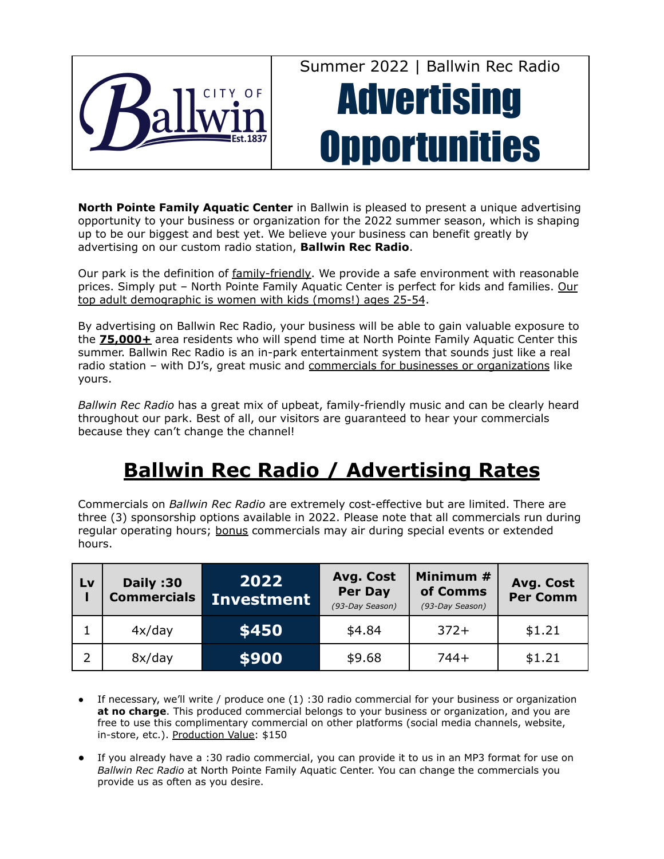

Summer 2022 | Ballwin Rec Radio

# **Advertising Opportunities**

**North Pointe Family Aquatic Center** in Ballwin is pleased to present a unique advertising opportunity to your business or organization for the 2022 summer season, which is shaping up to be our biggest and best yet. We believe your business can benefit greatly by advertising on our custom radio station, **Ballwin Rec Radio**.

Our park is the definition of family-friendly. We provide a safe environment with reasonable prices. Simply put – North Pointe Family Aquatic Center is perfect for kids and families. Our top adult demographic is women with kids (moms!) ages 25-54.

By advertising on Ballwin Rec Radio, your business will be able to gain valuable exposure to the **75,000+** area residents who will spend time at North Pointe Family Aquatic Center this summer. Ballwin Rec Radio is an in-park entertainment system that sounds just like a real radio station – with DJ's, great music and commercials for businesses or organizations like yours.

*Ballwin Rec Radio* has a great mix of upbeat, family-friendly music and can be clearly heard throughout our park. Best of all, our visitors are guaranteed to hear your commercials because they can't change the channel!

### **Ballwin Rec Radio / Advertising Rates**

Commercials on *Ballwin Rec Radio* are extremely cost-effective but are limited. There are three (3) sponsorship options available in 2022. Please note that all commercials run during regular operating hours; bonus commercials may air during special events or extended hours.

| Lv | Daily:30<br><b>Commercials</b> | 2022<br><b>Investment</b> | Avg. Cost<br><b>Per Day</b><br>(93-Day Season) | Minimum #<br>of Comms<br>(93-Day Season) | Avg. Cost<br><b>Per Comm</b> |
|----|--------------------------------|---------------------------|------------------------------------------------|------------------------------------------|------------------------------|
|    | 4x/day                         | \$450                     | \$4.84                                         | $372+$                                   | \$1.21                       |
|    | 8x/day                         | \$900                     | \$9.68                                         | $744+$                                   | \$1.21                       |

- If necessary, we'll write / produce one  $(1)$  :30 radio commercial for your business or organization **at no charge**. This produced commercial belongs to your business or organization, and you are free to use this complimentary commercial on other platforms (social media channels, website, in-store, etc.). Production Value: \$150
- If you already have a :30 radio commercial, you can provide it to us in an MP3 format for use on *Ballwin Rec Radio* at North Pointe Family Aquatic Center. You can change the commercials you provide us as often as you desire.